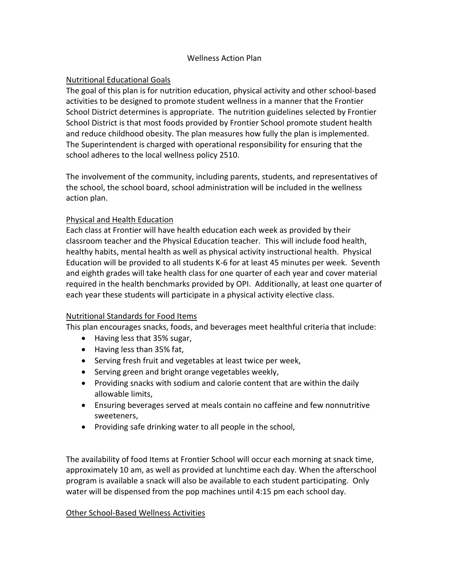#### Wellness Action Plan

# Nutritional Educational Goals

The goal of this plan is for nutrition education, physical activity and other school-based activities to be designed to promote student wellness in a manner that the Frontier School District determines is appropriate. The nutrition guidelines selected by Frontier School District is that most foods provided by Frontier School promote student health and reduce childhood obesity. The plan measures how fully the plan is implemented. The Superintendent is charged with operational responsibility for ensuring that the school adheres to the local wellness policy 2510.

The involvement of the community, including parents, students, and representatives of the school, the school board, school administration will be included in the wellness action plan.

## Physical and Health Education

Each class at Frontier will have health education each week as provided by their classroom teacher and the Physical Education teacher. This will include food health, healthy habits, mental health as well as physical activity instructional health. Physical Education will be provided to all students K-6 for at least 45 minutes per week. Seventh and eighth grades will take health class for one quarter of each year and cover material required in the health benchmarks provided by OPI. Additionally, at least one quarter of each year these students will participate in a physical activity elective class.

## Nutritional Standards for Food Items

This plan encourages snacks, foods, and beverages meet healthful criteria that include:

- Having less that 35% sugar,
- Having less than 35% fat,
- Serving fresh fruit and vegetables at least twice per week,
- Serving green and bright orange vegetables weekly,
- Providing snacks with sodium and calorie content that are within the daily allowable limits,
- Ensuring beverages served at meals contain no caffeine and few nonnutritive sweeteners,
- Providing safe drinking water to all people in the school,

The availability of food Items at Frontier School will occur each morning at snack time, approximately 10 am, as well as provided at lunchtime each day. When the afterschool program is available a snack will also be available to each student participating. Only water will be dispensed from the pop machines until 4:15 pm each school day.

## Other School-Based Wellness Activities